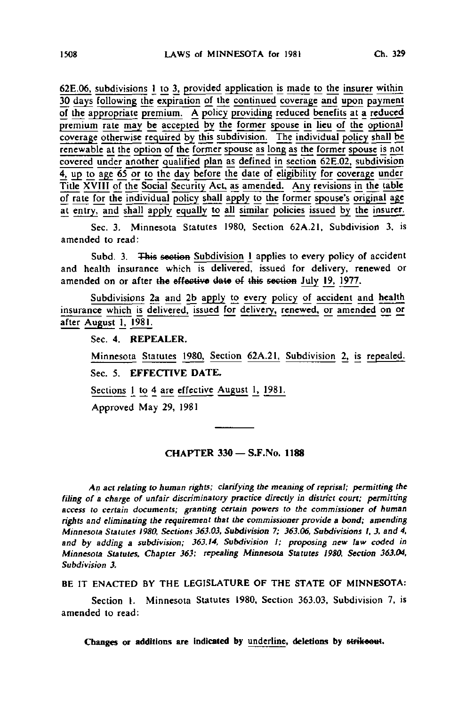62E.06, subdivisions I to 3, provided application is made to the insurer within 30 days following the expiration of the continued coverage and upon payment of the appropriate premium. A policy providing reduced benefits at a reduced premium rate may be accepted by the former spouse in lieu of the optional coverage otherwise required by this subdivision. The individual policy shall be renewable at the option of the former spouse as long as the former spouse is not covered under another qualified plan as defined in section 62E.02. subdivision 4, up to age 65 or to the day before the date of eligibility for coverage under Title XVIII of the Social Security Act, as amended. Any revisions in the table of rate for the individual policy shall apply to the former spouse's original age at entry, and shall apply equally to all similar policies issued by the insurer

Sec. 3. Minnesota Statutes 1980, Section 62A.21, Subdivision 3, is amended to read:

Subd. 3. This section Subdivision I applies to every policy of accident and health insurance which is delivered, issued for delivery, renewed or amended on or after the effective date ef this section July J9, 1977.

Subdivisions 2a and 2b apply to every policy of accident and health insurance which is delivered, issued for delivery, renewed, or amended on or after August 1, 1981.

Sec. 4. REPEALER.

Minnesota Statutes 1980, Section 62A.21, Subdivision 2, is repealed. Sec. 5. EFFECTIVE DATE.

Sections 1 to  $4$  are effective August 1, 1981.

Approved May 29, 1981

## CHAPTER 330 - S.F.No. 1188

An act relating to human rights; clarifying the meaning of reprisal; permitting the filing of a charge of unfair discriminatory practice directly in district court; permitting access to certain documents; granting certain powers to the commissioner of human rights and eliminating the requirement that the commissioner provide a bond; amending Minnesota Statutes 1980, Sections 363.03, Subdivision 7; 363.06, Subdivisions I, 3, and 4, and by adding a subdivision; 363.14, Subdivision I; proposing new law coded in Minnesota Statutes, Chapter 363; repealing Minnesota Statutes 1980, Section 363.04, Subdivision 3.

BE IT ENACTED BY THE LEGISLATURE OF THE STATE OF MINNESOTA:

Section I. Minnesota Statutes 1980, Section 363.03, Subdivision 7, is amended to read: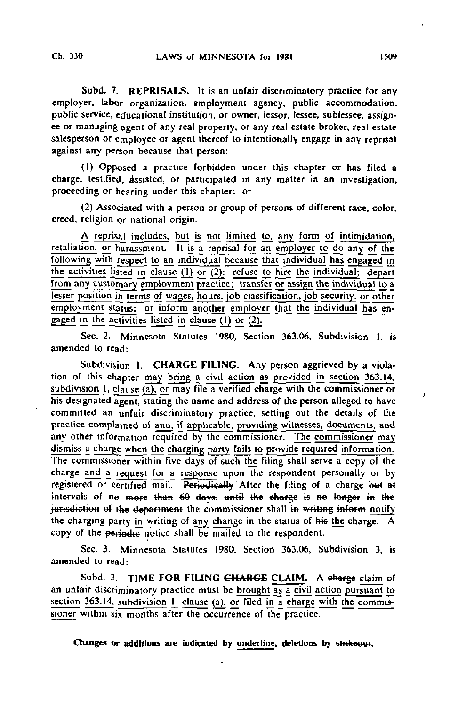Subd. 7. REPRISALS. It is an unfair discriminatory practice for any employer, labor organization, employment agency, public accommodation, public service, educational institution, or owner, lessor, (essee, sublessee, assignee or managing agent of any real properly, or any real estate broker, real estate salesperson or employee or agent thereof to intentionally engage in any reprisal against any person because that person:

(1) Opposed a practice forbidden under this chapter or has filed a charge, testified, Assisted, or participated in any matter in an investigation, proceeding or hearing under this chapter; or

(2) Associated with a person or group of persons of different race, color, creed, religion or national origin.

A reprisal includes, but is not limited to. any form of intimidation, retaliation, or harassment. It is a reprisal for an employer to do any of the following with respect to an individual because that individual has engaged in the activities listed in clause  $(1)$  or  $(2)$ : refuse to hire the individual; depart from any customary employment practice; transfer or assign the individual to a lesser position in terms of wages, hours, job classification, job security, or other employment status; or inform another employer that the individual has engaged in the activities listed in clause (1) or (2).

Sec. 2. Minnesota Statutes 1980, Section 363.06, Subdivision 1, is amended to read:

Subdivision 1. CHARGE FILING. Any person aggrieved by a violation of this chapter may bring a civil action as provided in section 363.14, subdivision 1, clause (a), or may-file a verified charge with the commissioner or his designated agent, stating the name and address of the person alleged to have committed an unfair discriminatory practice, setting out the details of the practice complained of and, if applicable, providing witnesses, documents, and any other information required by the commissioner. The commissioner may dismiss a charge when the charging party fails to provide required information. The commissioner within five days of such the filing shall serve a copy of the charge and a request for a response upon the respondent personally or by registered or certified mail. Periodically After the filing of a charge but at intervals of no more than 60 days, until the charge is no longer in the jurisdiction of the department the commissioner shall in writing inform notify the charging party in writing of any change in the status of his the charge. A copy of the periodic notice shall be mailed to the respondent.

Sec. 3. Minnesota Statutes 1980, Section 363.06, Subdivision 3, is amended to read:

Subd. 3. TIME FOR FILING CHARGE CLAIM. A charge claim of an unfair discriminatory practice must be brought as a civil action pursuant to section  $363.14$ , subdivision 1, clause (a), or filed in a charge with the commissioner within six months after the occurrence of the practice.

Changes or additions are indicated by underline, deletions by strikeout.

j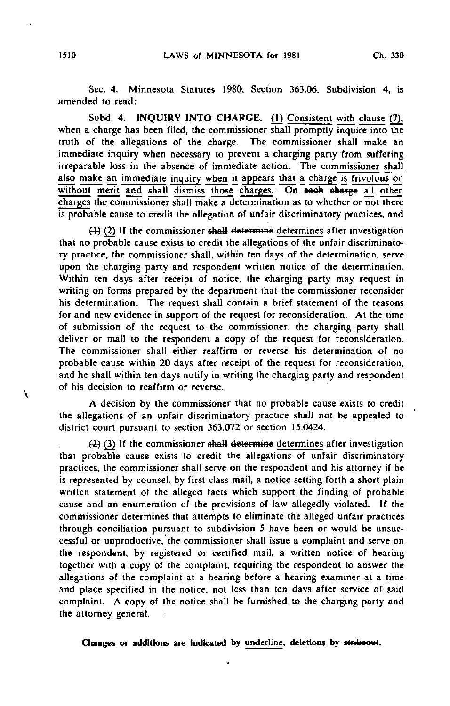Sec. 4. Minnesota Statutes 1980, Section 363.06, Subdivision 4, is amended to read:

Subd. 4. INQUIRY INTO CHARGE. (1) Consistent with clause (7), when a charge has been filed, the commissioner shall promptly inquire into the truth of the allegations of the charge. The commissioner shall make an immediate inquiry when necessary to prevent a charging party from suffering irreparable loss in the absence of immediate action. The commissioner shall also make an immediate inquiry when it appears that  $\overline{a}$  charge is frivolous or without merit and shall dismiss those charges. On each charge all other charges the commissioner shall make a determination as to whether or not there is probable cause to credit the allegation of unfair discriminatory practices, and

 $(4)$  (2) If the commissioner shall determine determines after investigation that no probable cause exists to credit the allegations of the unfair discriminatory practice, the commissioner shall, within ten days of the determination, serve upon the charging party and respondent written notice of the determination. Within ten days after receipt of notice, the charging party may request in writing on forms prepared by the department that the commissioner reconsider his determination. The request shall contain a brief statement of the reasons for and new evidence in support of the request for reconsideration. At the time of submission of the request to the commissioner, the charging party shall deliver or mail to the respondent a copy of the request for reconsideration. The commissioner shall either reaffirm or reverse his determination of no probable cause within 20 days after receipt of the request for reconsideration, and he shall within ten days notify in writing the charging party and respondent of his decision to reaffirm or reverse.

A decision by the commissioner that no probable cause exists to credit the allegations of an unfair discriminatory practice shall not be appealed to district court pursuant to section 363.072 or section 15.0424.

 $(2)$  (3) If the commissioner shall determine determines after investigation that probable cause exists to credit the allegations of unfair discriminatory practices, the commissioner shall serve on the respondent and his attorney if he is represented by counsel, by first class mail, a notice setting forth a short plain written statement of the alleged facts which support the finding of probable cause and an enumeration of the provisions of law allegedly violated. If the commissioner determines that attempts to eliminate the alleged unfair practices through conciliation pursuant to subdivision 5 have been or would be unsuccessful or unproductive, the commissioner shall issue a complaint and serve on the respondent, by registered or certified mail, a written notice of hearing together with a copy of the complaint, requiring the respondent to answer the allegations of the complaint at a hearing before a hearing examiner at a time and place specified in the notice, not less than ten days after service of said complaint. A copy of the notice shall be furnished to the charging party and the attorney general.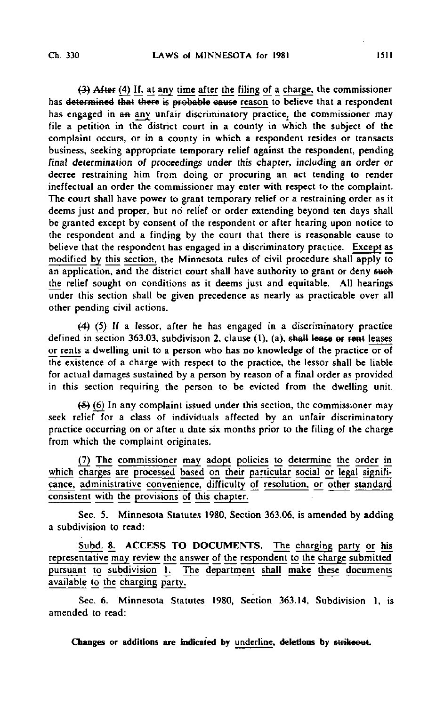(5) Alter (4) If, at any time after the filing of a charge, the commissioner has determined that there is probable cause reason to believe that a respondent has engaged in an any unfair discriminatory practice, the commissioner may file a petition in the district court in a county in which the subject of the complaint occurs, or in a county in which a respondent resides or transacts business, seeking appropriate temporary relief against the respondent, pending final determination of proceedings under this chapter, including an order or decree restraining him from doing or procuring an act tending to render ineffectual an order the commissioner may enter with respect to the complaint. The court shall have power to grant temporary relief or a restraining order as it deems just and proper, but no relief or order extending beyond ten days shall be granted except by consent of the respondent or after hearing upon notice to the respondent and a finding by the court that there is reasonable cause to believe that the respondent has engaged in a discriminatory practice. Except as modified by this section, the Minnesota rules of civil procedure shall apply to an application, and the district court shall have authority to grant or deny such the relief sought on conditions as it deems just and equitable. All hearings under this section shall be given precedence as nearly as practicable over all other pending civil actions.

f4} (5} If a lessor, after he has engaged in a discriminatory practice defined in section 363.03, subdivision 2, clause  $(1)$ ,  $(a)$ , shall lease of fent leases or rents a dwelling unit to a person who has no knowledge of the practice or of the existence of a charge with respect to the practice, the lessor shall be liable for actual damages sustained by a person by reason of a final order as provided in this section requiring the person to be evicted from the dwelling unit.

(£) (6) In any complaint issued under this section, the commissioner may seek relief for a class of individuals affected by an unfair discriminatory practice occurring on or after a date six months prior to the filing of the charge from which the complaint originates.

(7) The commissioner may adopt policies to determine the order in which charges are processed based on their particular social or legal significance, administrative convenience, difficulty of resolution, or other standard consistent with the provisions of this chapter.

Sec. 5. Minnesota Statutes 1980, Section 363.06, is amended by adding a subdivision to read:

Subd. 8. ACCESS TO DOCUMENTS. The charging party or his representative may review the answer of the respondent to the charge submitted pursuant to subdivision 1. The department shall make these documents available to the charging party.

Sec. 6. Minnesota Statutes 1980, Section 363.14, Subdivision I, is amended to read: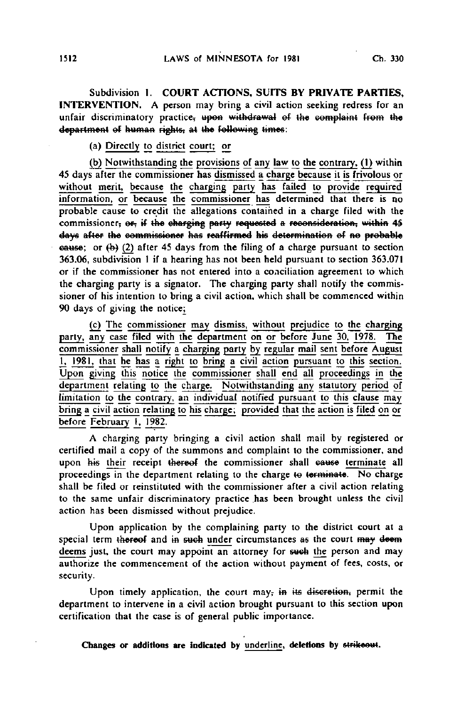Subdivision 1. COURT ACTIONS, SUITS BY PRIVATE PARTIES, INTERVENTION. A person may bring a civil action seeking redress for an unfair discriminatory practice, upon withdrawal of the complaint from the department of human rights, at the following times:

(a) Directly to district court; or

(bj Notwithstanding the provisions of any law to the contrary. (1) within 45 days after the commissioner has dismissed a charge because it is frivolous or without merit, because the charging party has failed to provide required information, or because the commissioner has determined that there is no probable cause to credit the allegations contained in a charge filed with the commissioner; or, if the charging party requested a reconsideration; within 45 days after the commissioner has reaffirmed his determination ef ne probable eause; or  $(b)$  (2) after 45 days from the filing of a charge pursuant to section 363.06, subdivision 1 if a hearing has not been held pursuant to section 363.071 or if the commissioner has not entered into a conciliation agreement to which the charging party is a signator. The charging party shall notify the commissioner of his intention to bring a civil action, which shall be commenced within 90 days of giving the notice;

(c) The commissioner may dismiss, without prejudice to the charging party, any case filed with the department on or before June 30, 1978. The commissioner shall notify a charging party by regular mail sent before August I, 1981, that he has a right to bring a civil action pursuant to this section. Upon giving this notice the commissioner shall end all proceedings in the department relating to the charge. Notwithstanding any statutory period of limitation to the contrary, an individual notified pursuant to this clause may bring a civil action relating to his charge; provided that the action is filed on or before February 1, 1982.

A charging party bringing a civil action shall mail by registered or certified mail a copy of the summons and complaint to the commissioner, and upon his their receipt thereof the commissioner shall eause terminate all proceedings in the department relating to the charge to terminate. No charge shall be filed or reinstituted with the commissioner after a civil action relating to the same unfair discriminatory practice has been brought unless the civil action has been dismissed without prejudice.

Upon application by the complaining party to the district court at a special term thereof and in such under circumstances as the court may deem deems just, the court may appoint an attorney for such the person and may authorize the commencement of the action without payment of fees, costs, or security.

Upon timely application, the court may, in its discretion, permit the department to intervene in a civil action brought pursuant to this section upon certification that the case is of general public importance.